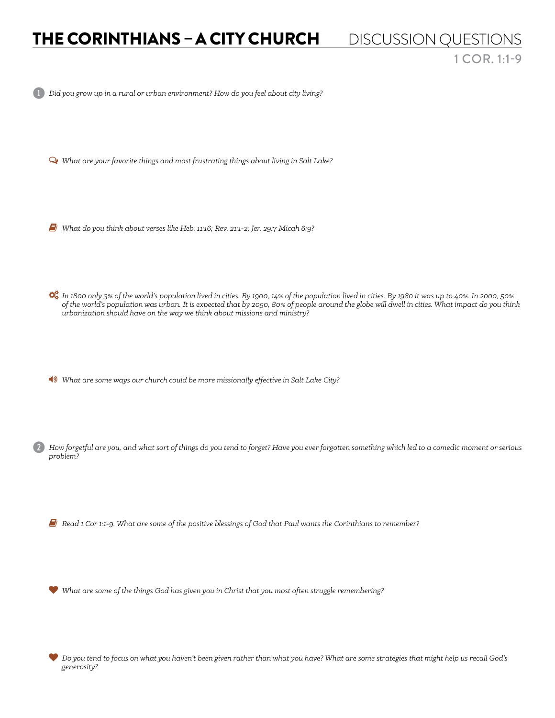## THE CORINTHIANS – A CITY CHURCH DISCUSSION QUESTIONS 1 COR. 1:1-9

1 *Did you grow up in a rural or urban environment? How do you feel about city living?* 

Ø *What are your favorite things and most frustrating things about living in Salt Lake?* 

6 *What do you think about verses like Heb. 11:16; Rev. 21:1-2; Jer. 29:7 Micah 6:9?* 

 *In 1800 only 3% of the world's population lived in cities. By 1900, 14% of the population lived in cities. By 1980 it was up to 40%. In 2000, 50% of the world's population was urban. It is expected that by 2050, 80% of people around the globe will dwell in cities. What impact do you think urbanization should have on the way we think about missions and ministry?* 

1 *What are some ways our church could be more missionally effective in Salt Lake City?* 

2 *How forgetful are you, and what sort of things do you tend to forget? Have you ever forgotten something which led to a comedic moment or serious problem?* 

6 *Read 1 Cor 1:1-9. What are some of the positive blessings of God that Paul wants the Corinthians to remember?* 

*What are some of the things God has given you in Christ that you most often struggle remembering?* 

 *Do you tend to focus on what you haven't been given rather than what you have? What are some strategies that might help us recall God's generosity?*